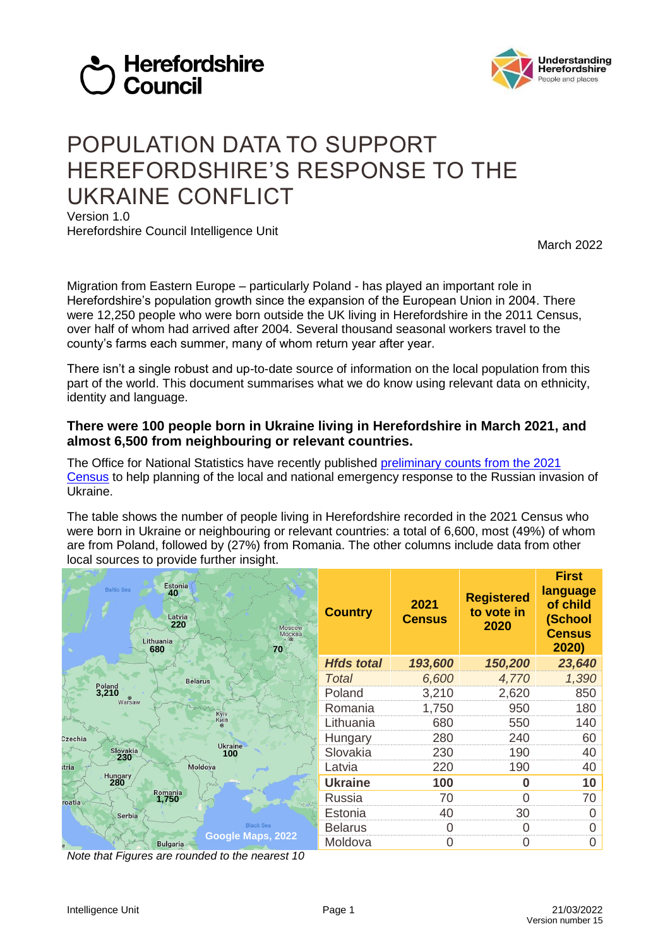



# POPULATION DATA TO SUPPORT HEREFORDSHIRE'S RESPONSE TO THE UKRAINE CONFLICT

Version 1.0 Herefordshire Council Intelligence Unit

March 2022

Migration from Eastern Europe – particularly Poland - has played an important role in Herefordshire's population growth since the expansion of the European Union in 2004. There were 12,250 people who were born outside the UK living in Herefordshire in the 2011 Census, over half of whom had arrived after 2004. Several thousand seasonal workers travel to the county's farms each summer, many of whom return year after year.

There isn't a single robust and up-to-date source of information on the local population from this part of the world. This document summarises what we do know using relevant data on ethnicity, identity and language.

### **There were 100 people born in Ukraine living in Herefordshire in March 2021, and almost 6,500 from neighbouring or relevant countries.**

The Office for National Statistics have recently published [preliminary counts from the 2021](https://lnks.gd/l/eyJhbGciOiJIUzI1NiJ9.eyJidWxsZXRpbl9saW5rX2lkIjoxMDEsInVyaSI6ImJwMjpjbGljayIsImJ1bGxldGluX2lkIjoiMjAyMjAzMDQuNTQzODM2MjEiLCJ1cmwiOiJodHRwczovL3d3dy5vbnMuZ292LnVrL3Blb3BsZXBvcHVsYXRpb25hbmRjb21tdW5pdHkvcG9wdWxhdGlvbmFuZG1pZ3JhdGlvbi9wb3B1bGF0aW9uZXN0aW1hdGVzL2FkaG9jcy8xNDM1NGN0MjEwMDAxIn0.MAk5sDn0FNiAEcr36JgMJxJ7PtM9sgA-E92kk1S1-x4/s/835898492/br/127529449724-l)  [Census](https://lnks.gd/l/eyJhbGciOiJIUzI1NiJ9.eyJidWxsZXRpbl9saW5rX2lkIjoxMDEsInVyaSI6ImJwMjpjbGljayIsImJ1bGxldGluX2lkIjoiMjAyMjAzMDQuNTQzODM2MjEiLCJ1cmwiOiJodHRwczovL3d3dy5vbnMuZ292LnVrL3Blb3BsZXBvcHVsYXRpb25hbmRjb21tdW5pdHkvcG9wdWxhdGlvbmFuZG1pZ3JhdGlvbi9wb3B1bGF0aW9uZXN0aW1hdGVzL2FkaG9jcy8xNDM1NGN0MjEwMDAxIn0.MAk5sDn0FNiAEcr36JgMJxJ7PtM9sgA-E92kk1S1-x4/s/835898492/br/127529449724-l) to help planning of the local and national emergency response to the Russian invasion of Ukraine.

The table shows the number of people living in Herefordshire recorded in the 2021 Census who were born in Ukraine or neighbouring or relevant countries: a total of 6,600, most (49%) of whom are from Poland, followed by (27%) from Romania. The other columns include data from other local sources to provide further insight.

| <b>Estonia</b><br><b>Baltic Sea</b><br>40<br>Latvia<br>220<br>Moscow<br>Москва<br>Lithuania<br>680<br>70 | <b>Country</b>    | 2021<br><b>Census</b> | <b>Registered</b><br>to vote in<br>2020 | <b>First</b><br>language<br>of child<br>(School<br><b>Census</b><br>2020) |
|----------------------------------------------------------------------------------------------------------|-------------------|-----------------------|-----------------------------------------|---------------------------------------------------------------------------|
|                                                                                                          | <b>Hfds total</b> | 193,600               | 150,200                                 | 23,640                                                                    |
| <b>Belarus</b><br>Poland                                                                                 | Total             | 6,600                 | 4,770                                   | 1,390                                                                     |
| 3,210<br>$\odot$                                                                                         | Poland            | 3,210                 | 2,620                                   | 850                                                                       |
| Warsaw                                                                                                   | Romania           | 1,750                 | 950                                     | 180                                                                       |
| Куіv<br>Київ                                                                                             | Lithuania         | 680                   | 550                                     | 140                                                                       |
| Czechia                                                                                                  | Hungary           | 280                   | 240                                     | 60                                                                        |
| <b>Ukraine</b><br>Slovakia<br>100<br>230                                                                 | Slovakia          | 230                   | 190                                     | 40                                                                        |
| Moldova<br>stria                                                                                         | Latvia            | 220                   | 190                                     | 40                                                                        |
| Hungary<br>280                                                                                           | <b>Ukraine</b>    | 100                   | 0                                       | 10                                                                        |
| Romania<br>1,750<br>roatia<br>社会会                                                                        | Russia            | 70                    | 0                                       | 70                                                                        |
| Serbia                                                                                                   | Estonia           | 40                    | 30                                      |                                                                           |
| <b>Black Sea</b>                                                                                         | <b>Belarus</b>    | O                     | 0                                       |                                                                           |
| Google Maps, 2022<br><b>Bulgaria</b>                                                                     | Moldova           | 0                     | 0                                       | O                                                                         |

*Note that Figures are rounded to the nearest 10*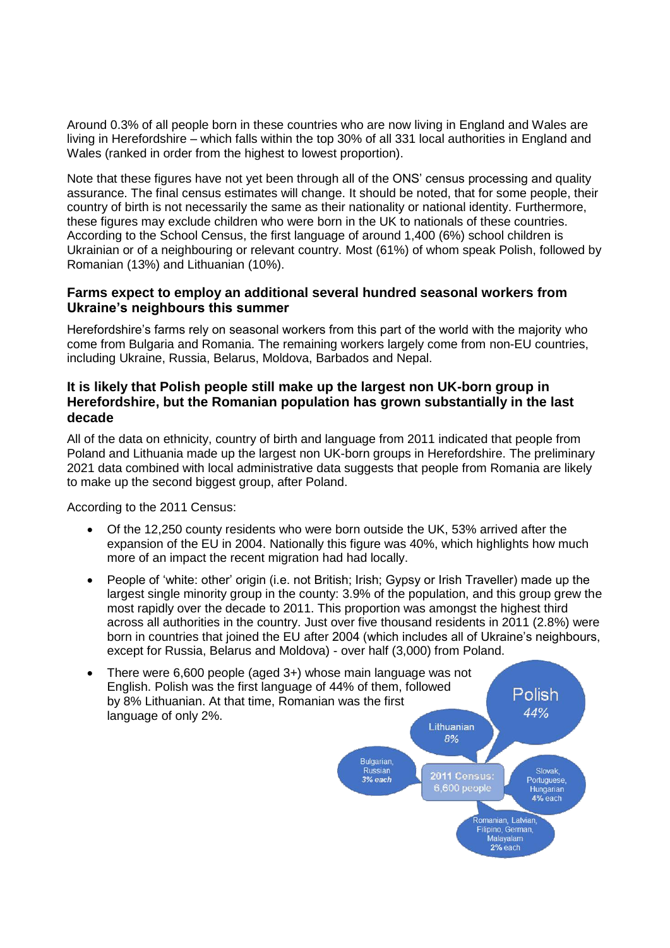Around 0.3% of all people born in these countries who are now living in England and Wales are living in Herefordshire – which falls within the top 30% of all 331 local authorities in England and Wales (ranked in order from the highest to lowest proportion).

Note that these figures have not yet been through all of the ONS' census processing and quality assurance. The final census estimates will change. It should be noted, that for some people, their country of birth is not necessarily the same as their nationality or national identity. Furthermore, these figures may exclude children who were born in the UK to nationals of these countries. According to the School Census, the first language of around 1,400 (6%) school children is Ukrainian or of a neighbouring or relevant country. Most (61%) of whom speak Polish, followed by Romanian (13%) and Lithuanian (10%).

## **Farms expect to employ an additional several hundred seasonal workers from Ukraine's neighbours this summer**

Herefordshire's farms rely on seasonal workers from this part of the world with the majority who come from Bulgaria and Romania. The remaining workers largely come from non-EU countries, including Ukraine, Russia, Belarus, Moldova, Barbados and Nepal.

#### **It is likely that Polish people still make up the largest non UK-born group in Herefordshire, but the Romanian population has grown substantially in the last decade**

All of the data on ethnicity, country of birth and language from 2011 indicated that people from Poland and Lithuania made up the largest non UK-born groups in Herefordshire. The preliminary 2021 data combined with local administrative data suggests that people from Romania are likely to make up the second biggest group, after Poland.

According to the 2011 Census:

- Of the 12,250 county residents who were born outside the UK, 53% arrived after the expansion of the EU in 2004. Nationally this figure was 40%, which highlights how much more of an impact the recent migration had had locally.
- People of 'white: other' origin (i.e. not British; Irish; Gypsy or Irish Traveller) made up the largest single minority group in the county: 3.9% of the population, and this group grew the most rapidly over the decade to 2011. This proportion was amongst the highest third across all authorities in the country. Just over five thousand residents in 2011 (2.8%) were born in countries that joined the EU after 2004 (which includes all of Ukraine's neighbours, except for Russia, Belarus and Moldova) - over half (3,000) from Poland.